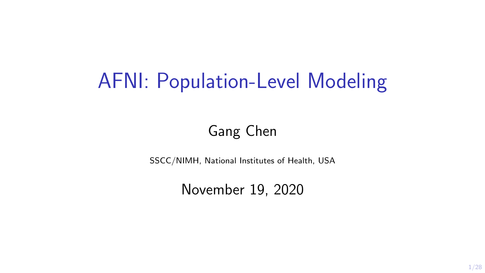# AFNI: Population-Level Modeling

### Gang Chen

SSCC/NIMH, National Institutes of Health, USA

November 19, 2020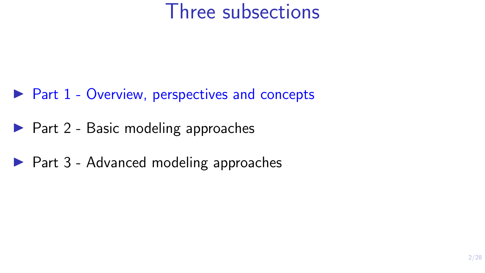### Three subsections

- $\triangleright$  Part 1 Overview, perspectives and concepts
- $\blacktriangleright$  Part 2 Basic modeling approaches
- $\blacktriangleright$  Part 3 Advanced modeling approaches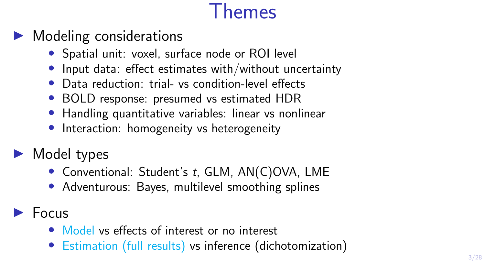## Themes

### $\blacktriangleright$  Modeling considerations

- Spatial unit: voxel, surface node or ROI level
- Input data: effect estimates with/without uncertainty
- Data reduction: trial- vs condition-level effects
- BOLD response: presumed vs estimated HDR
- Handling quantitative variables: linear vs nonlinear
- Interaction: homogeneity vs heterogeneity
- $\blacktriangleright$  Model types
	- Conventional: Student's t, GLM, AN(C)OVA, LME
	- Adventurous: Bayes, multilevel smoothing splines
- $\blacktriangleright$  Focus
	- Model vs effects of interest or no interest
	- Estimation (full results) vs inference (dichotomization)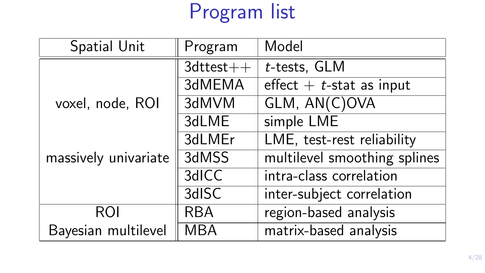# Program list

| Spatial Unit         | Program         | Model                        |  |  |
|----------------------|-----------------|------------------------------|--|--|
|                      | $3d$ ttest $++$ | t-tests, GLM                 |  |  |
|                      | 3dMEMA          | effect $+$ t-stat as input   |  |  |
| voxel, node, ROI     | 3dMVM           | GLM, AN(C)OVA                |  |  |
|                      | 3dLME           | simple LME                   |  |  |
|                      | 3dLMEr          | LME, test-rest reliability   |  |  |
| massively univariate | 3dMSS           | multilevel smoothing splines |  |  |
|                      | 3dICC           | intra-class correlation      |  |  |
|                      | 3dISC           | inter-subject correlation    |  |  |
| <b>ROI</b>           | <b>RBA</b>      | region-based analysis        |  |  |
| Bayesian multilevel  | <b>MBA</b>      | matrix-based analysis        |  |  |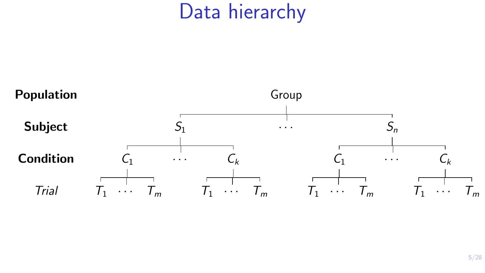## Data hierarchy

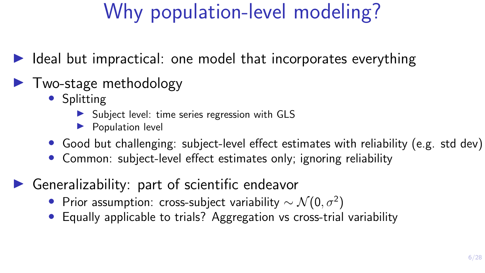## Why population-level modeling?

 $\triangleright$  Ideal but impractical: one model that incorporates everything

### $\blacktriangleright$  Two-stage methodology

- Splitting
	- $\triangleright$  Subject level: time series regression with GLS
	- $\blacktriangleright$  Population level
- Good but challenging: subject-level effect estimates with reliability (e.g. std dev)
- Common: subject-level effect estimates only; ignoring reliability
- Generalizability: part of scientific endeavor
	- Prior assumption: cross-subject variability  $\sim \mathcal{N}(0, \sigma^2)$
	- Equally applicable to trials? Aggregation vs cross-trial variability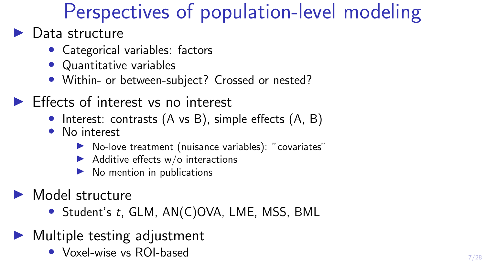## Perspectives of population-level modeling

#### $\blacktriangleright$  Data structure

- Categorical variables: factors
- Quantitative variables
- Within- or between-subject? Crossed or nested?
- $\blacktriangleright$  Effects of interest vs no interest
	- Interest: contrasts (A vs B), simple effects (A, B)
	- No interest
		- $\triangleright$  No-love treatment (nuisance variables): "covariates"
		- $\blacktriangleright$  Additive effects w/o interactions
		- No mention in publications
- $\blacktriangleright$  Model structure
	- Student's t, GLM, AN(C)OVA, LME, MSS, BML
- $\blacktriangleright$  Multiple testing adjustment
	- Voxel-wise vs ROI-based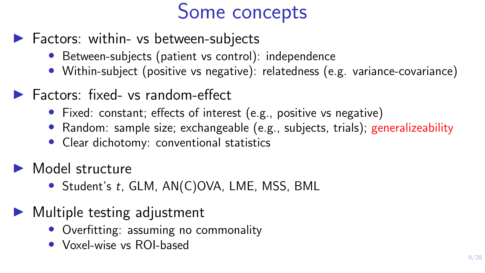## Some concepts

- $\blacktriangleright$  Factors: within- vs between-subjects
	- Between-subjects (patient vs control): independence
	- Within-subject (positive vs negative): relatedness (e.g. variance-covariance)
- $\blacktriangleright$  Factors: fixed- vs random-effect
	- Fixed: constant; effects of interest (e.g., positive vs negative)
	- Random: sample size; exchangeable (e.g., subjects, trials); generalizeability
	- Clear dichotomy: conventional statistics
- $\blacktriangleright$  Model structure
	- Student's t, GLM, AN(C)OVA, LME, MSS, BML
- $\blacktriangleright$  Multiple testing adjustment
	- Overfitting: assuming no commonality
	- Voxel-wise vs ROI-based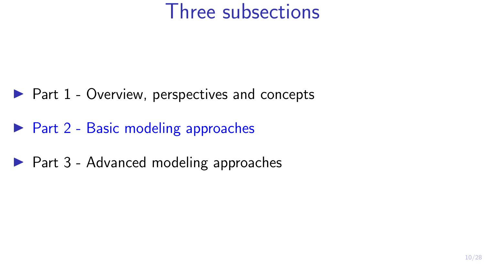### Three subsections

- $\blacktriangleright$  Part 1 Overview, perspectives and concepts
- $\triangleright$  Part 2 Basic modeling approaches
- $\blacktriangleright$  Part 3 Advanced modeling approaches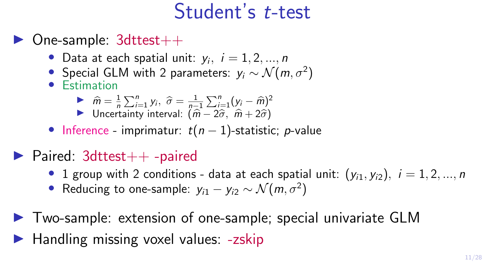### Student's t-test

- $\triangleright$  One-sample: 3dttest $++$ 
	- Data at each spatial unit:  $y_i$ ,  $i = 1, 2, ..., n$
	- Special GLM with 2 parameters:  $y_i \sim \mathcal{N}(m, \sigma^2)$
	- Estimation

$$
\hat{m} = \frac{1}{n} \sum_{i=1}^{n} y_i, \ \hat{\sigma} = \frac{1}{n-1} \sum_{i=1}^{n} (y_i - \hat{m})^2
$$
  
Uncertainty interval:  $(\hat{m} - 2\hat{\sigma}, \ \hat{m} + 2\hat{\sigma})$ 

- Inference imprimatur:  $t(n-1)$ -statistic; *p*-value
- $\blacktriangleright$  Paired: 3dttest $++$  -paired
	- 1 group with 2 conditions data at each spatial unit:  $(y_{i1}, y_{i2}), i = 1, 2, ..., n$
	- Reducing to one-sample:  $y_{i1} y_{i2} \sim \mathcal{N}(m, \sigma^2)$
- $\triangleright$  Two-sample: extension of one-sample; special univariate GLM
- $\blacktriangleright$  Handling missing voxel values:  $-z$ skip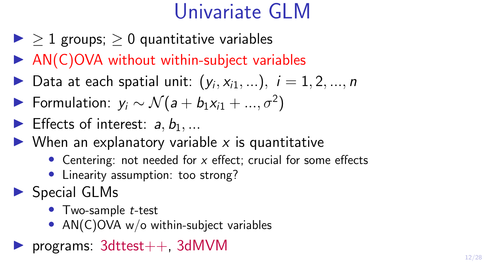## Univariate GLM

- $\blacktriangleright$  > 1 groups; > 0 quantitative variables
- $\triangleright$  AN(C)OVA without within-subject variables
- Data at each spatial unit:  $(y_i, x_{i1}, ...)$ ,  $i = 1, 2, ..., n$
- ► Formulation:  $y_i \sim \mathcal{N}(a + b_1 x_{i1} + ..., \sigma^2)$
- Effects of interest:  $a, b_1, ...$
- $\triangleright$  When an explanatory variable x is quantitative
	- Centering: not needed for  $x$  effect; crucial for some effects
	- Linearity assumption: too strong?
- $\triangleright$  Special GLMs
	- Two-sample *t*-test
	- AN(C)OVA w/o within-subject variables
- rograms:  $3d$ ttest $++$ ,  $3d$ MVM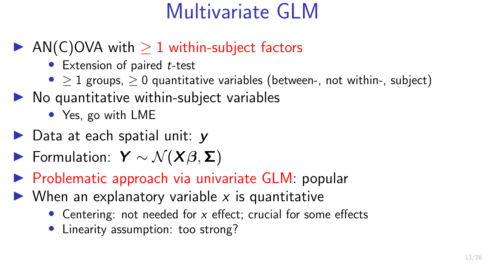## Multivariate GLM

### AN(C)OVA with  $> 1$  within-subject factors

- $\bullet$  Extension of paired  $t$ -test
- $> 1$  groups,  $> 0$  quantitative variables (between-, not within-, subject)
- $\triangleright$  No quantitative within-subject variables
	- Yes, go with LME
- $\triangleright$  Data at each spatial unit:  $\triangleright$
- $\blacktriangleright$  Formulation:  $Y \sim \mathcal{N}(X\beta, \Sigma)$
- $\triangleright$  Problematic approach via univariate GLM: popular
- $\triangleright$  When an explanatory variable x is quantitative
	- Centering: not needed for  $x$  effect; crucial for some effects
	- Linearity assumption: too strong?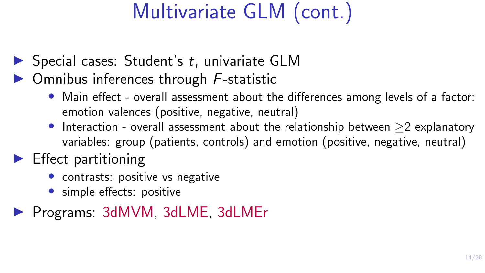# Multivariate GLM (cont.)

- $\triangleright$  Special cases: Student's t, univariate GLM
- $\triangleright$  Omnibus inferences through F-statistic
	- Main effect overall assessment about the differences among levels of a factor: emotion valences (positive, negative, neutral)
	- Interaction overall assessment about the relationship between ≥2 explanatory variables: group (patients, controls) and emotion (positive, negative, neutral)

### $\blacktriangleright$  Effect partitioning

- contrasts: positive vs negative
- simple effects: positive

**Programs: 3dMVM, 3dLME, 3dLMEr**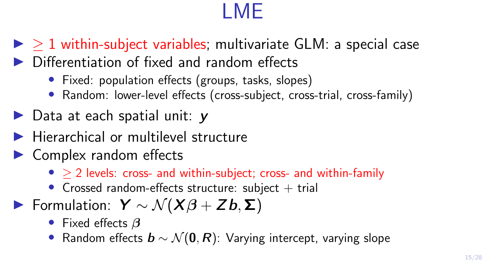# LME

 $\triangleright$   $>$  1 within-subject variables; multivariate GLM; a special case  $\triangleright$  Differentiation of fixed and random effects

- Fixed: population effects (groups, tasks, slopes)
- Random: lower-level effects (cross-subject, cross-trial, cross-family)
- $\triangleright$  Data at each spatial unit:  $\triangleright$
- $\blacktriangleright$  Hierarchical or multilevel structure
- $\blacktriangleright$  Complex random effects
	- $\bullet$  > 2 levels: cross- and within-subject; cross- and within-family
	- Crossed random-effects structure: subject  $+$  trial

 $\triangleright$  Formulation:  $Y \sim \mathcal{N}(X\beta + Zb, \Sigma)$ 

- Fixed effects  $\beta$
- Random effects  $\mathbf{b} \sim \mathcal{N}(\mathbf{0}, \mathbf{R})$ : Varying intercept, varying slope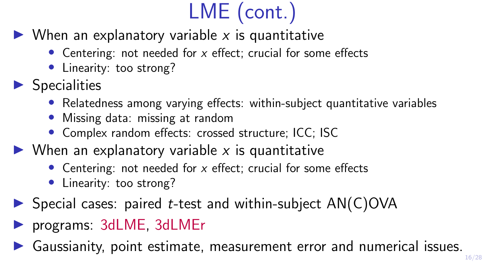# LME (cont.)

- $\triangleright$  When an explanatory variable x is quantitative
	- Centering: not needed for  $x$  effect: crucial for some effects
	- Linearity: too strong?
- $\blacktriangleright$  Specialities
	- Relatedness among varying effects: within-subject quantitative variables
	- Missing data: missing at random
	- Complex random effects: crossed structure; ICC; ISC
- $\triangleright$  When an explanatory variable x is quantitative
	- Centering: not needed for  $x$  effect; crucial for some effects
	- Linearity: too strong?
- $\triangleright$  Special cases: paired *t*-test and within-subject AN(C)OVA
- **Programs: 3dLME, 3dLMEr**
- Gaussianity, point estimate, measurement error and numerical issues.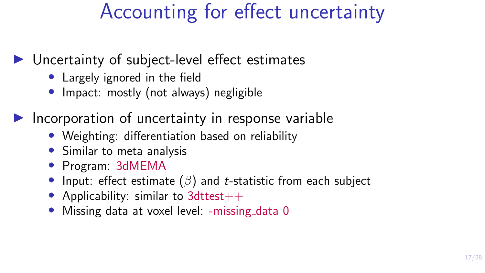## Accounting for effect uncertainty

#### $\triangleright$  Uncertainty of subject-level effect estimates

- Largely ignored in the field
- Impact: mostly (not always) negligible

Incorporation of uncertainty in response variable

- Weighting: differentiation based on reliability
- Similar to meta analysis
- Program: 3dMEMA
- Input: effect estimate  $(\beta)$  and *t*-statistic from each subject
- Applicability: similar to 3dttest $++$
- Missing data at voxel level: -missing data 0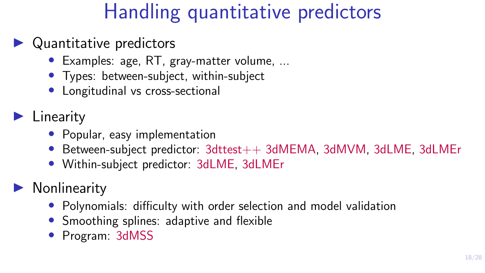## Handling quantitative predictors

### $\blacktriangleright$  Quantitative predictors

- Examples: age, RT, gray-matter volume, ...
- Types: between-subject, within-subject
- Longitudinal vs cross-sectional

### $\blacktriangleright$  Linearity

- Popular, easy implementation
- Between-subject predictor: 3dttest++ 3dMEMA, 3dMVM, 3dLME, 3dLMEr
- Within-subject predictor: 3dLME, 3dLMEr

### **Nonlinearity**

- Polynomials: difficulty with order selection and model validation
- Smoothing splines: adaptive and flexible
- Program: 3dMSS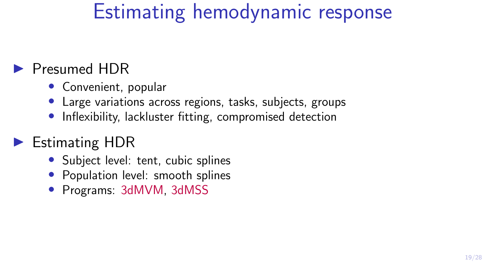## Estimating hemodynamic response

#### Presumed HDR

- Convenient, popular
- Large variations across regions, tasks, subjects, groups
- Inflexibility, lackluster fitting, compromised detection

### $\blacktriangleright$  Estimating HDR

- Subject level: tent, cubic splines
- Population level: smooth splines
- Programs: 3dMVM, 3dMSS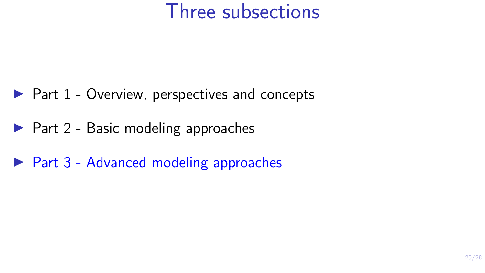### Three subsections

- $\blacktriangleright$  Part 1 Overview, perspectives and concepts
- $\blacktriangleright$  Part 2 Basic modeling approaches
- $\triangleright$  Part 3 Advanced modeling approaches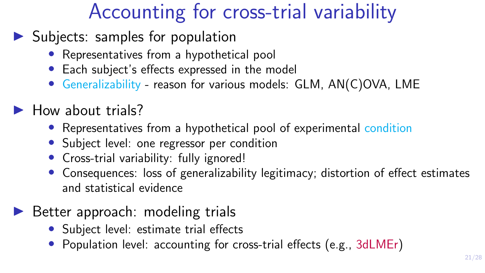## Accounting for cross-trial variability

- $\blacktriangleright$  Subjects: samples for population
	- Representatives from a hypothetical pool
	- Each subject's effects expressed in the model
	- Generalizability reason for various models: GLM, AN(C)OVA, LME

### $\blacktriangleright$  How about trials?

- Representatives from a hypothetical pool of experimental condition
- Subject level: one regressor per condition
- Cross-trial variability: fully ignored!
- Consequences: loss of generalizability legitimacy; distortion of effect estimates and statistical evidence

#### $\triangleright$  Better approach: modeling trials

- Subject level: estimate trial effects
- Population level: accounting for cross-trial effects (e.g., 3dLMEr)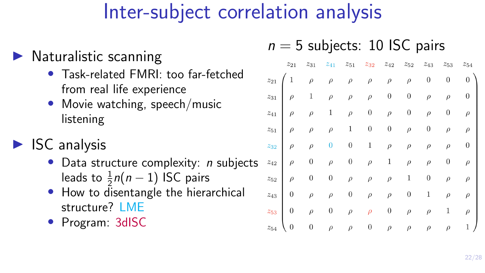## Inter-subject correlation analysis

### $\blacktriangleright$  Naturalistic scanning

- Task-related FMRI: too far-fetched from real life experience
- Movie watching, speech/music listening

### $\blacktriangleright$  ISC analysis

- Data structure complexity:  $n$  subjects leads to  $\frac{1}{2}n(n-1)$  ISC pairs
- How to disentangle the hierarchical structure? I MF
- Program: 3dISC

#### $n = 5$  subjects: 10 ISC pairs

|                                                 | $z_{21}$                                                                                               | $z_{31}$         |                  |                  | $z_{41}$ $z_{51}$ $z_{32}$ | $z_{42}$         | $z_{52}$         | $z_{43}$         | $z_{53}$         | $z_{54}$    |
|-------------------------------------------------|--------------------------------------------------------------------------------------------------------|------------------|------------------|------------------|----------------------------|------------------|------------------|------------------|------------------|-------------|
|                                                 |                                                                                                        |                  |                  |                  | $\rho$                     | $\rho$           | $\rho$           | $\boldsymbol{0}$ | $\boldsymbol{0}$ | $0^{\circ}$ |
|                                                 | $\begin{array}{ccc} z_{21} & 1 & \rho & \rho & \rho \\ \\ z_{31} & \rho & 1 & \rho & \rho \end{array}$ |                  |                  |                  | $\rho$                     | $\boldsymbol{0}$ | $\boldsymbol{0}$ | $\rho$           | $\rho$           | 0           |
|                                                 | $z_{41}$ $\rho$ $\rho$ 1                                                                               |                  |                  | $\rho$           | $\boldsymbol{0}$           | $\rho$           | $\boldsymbol{0}$ | $\rho$           | $\overline{0}$   | $\rho$      |
|                                                 | $z_{51}$ $\rho$ $\rho$                                                                                 |                  | $\rho$           |                  | $1\qquad 0$                | $\boldsymbol{0}$ | $\rho$           | $\overline{0}$   | $\rho$           | $\rho$      |
|                                                 | $z_{32}$ $\rho$ $\rho$ 0                                                                               |                  |                  |                  | $0 \qquad 1$               | $\rho$           | $\rho$           | $\rho$           | $\rho$           | 0           |
| $z_{42}$ $\left \rule{0pt}{10pt}\right.$ $\rho$ |                                                                                                        | $\overline{0}$   | $\rho$           |                  | $0 \quad \quad \rho$       | $\mathbf{1}$     | $\rho$           | $\rho$           |                  | $\rho$      |
|                                                 | $z_{52}$ $\rho$ 0                                                                                      |                  | $\boldsymbol{0}$ | $\rho$           | $\rho$                     | $\rho$           | 1                | $\boldsymbol{0}$ | $\rho$           | $\rho$      |
| $z_{43}$                                        | $\overline{0}$                                                                                         | $\rho$           | $\rho$           | $\boldsymbol{0}$ | $\rho$                     | $\rho$           | $\boldsymbol{0}$ | 1                | $\rho$           | $\rho$      |
| $z_{53}$                                        | $\begin{array}{ c c } \hline \end{array}$                                                              | $\rho$           | $\boldsymbol{0}$ | $\rho$           | $\rho$                     | $\boldsymbol{0}$ | $\rho$           | $\rho$           |                  | $\rho$      |
| $\mathcal{Z}_{54}$                              | $\overline{0}$                                                                                         | $\boldsymbol{0}$ | $\rho$           | $\rho$           |                            | 0 $\rho$         |                  | $\rho$ $\rho$    | $\rho$           | 1,          |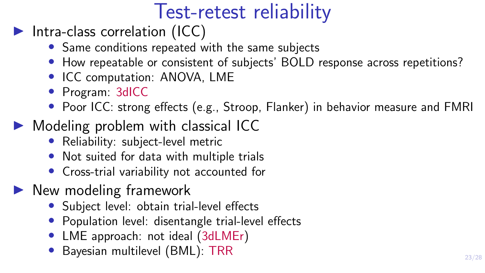## Test-retest reliability

- $\blacktriangleright$  Intra-class correlation (ICC)
	- Same conditions repeated with the same subjects
	- How repeatable or consistent of subjects' BOLD response across repetitions?
	- ICC computation: ANOVA, LME
	- Program: 3dICC
	- Poor ICC: strong effects (e.g., Stroop, Flanker) in behavior measure and FMRI
- $\triangleright$  Modeling problem with classical ICC
	- Reliability: subject-level metric
	- Not suited for data with multiple trials
	- Cross-trial variability not accounted for
- $\blacktriangleright$  New modeling framework
	- Subject level: obtain trial-level effects
	- Population level: disentangle trial-level effects
	- LME approach: not ideal (3dLMEr)
	- Bayesian multilevel (BML): TRR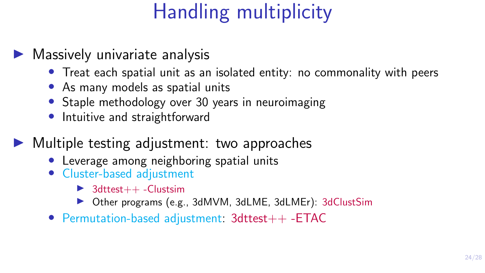# Handling multiplicity

#### $\blacktriangleright$  Massively univariate analysis

- Treat each spatial unit as an isolated entity: no commonality with peers
- As many models as spatial units
- Staple methodology over 30 years in neuroimaging
- Intuitive and straightforward

 $\blacktriangleright$  Multiple testing adjustment: two approaches

- Leverage among neighboring spatial units
- Cluster-based adjustment
	- $\triangleright$  3dttest++ -Clustsim
	- ▶ Other programs (e.g., 3dMVM, 3dLME, 3dLMEr): 3dClustSim
- Permutation-based adjustment: 3dttest++ -ETAC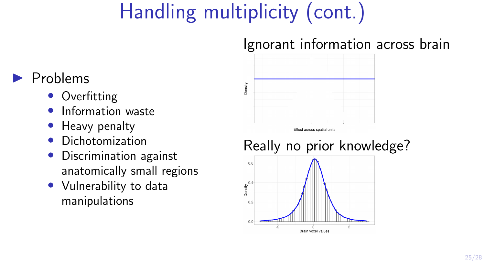# Handling multiplicity (cont.)

### Ignorant information across brain

### $\blacktriangleright$  Problems

- Overfitting
- Information waste
- Heavy penalty
- Dichotomization
- Discrimination against anatomically small regions
- Vulnerability to data manipulations



Effect across spatial units

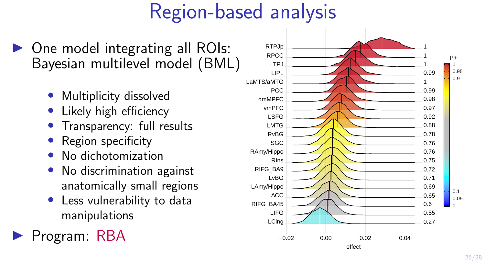## Region-based analysis

- $\triangleright$  One model integrating all ROIs: Bayesian multilevel model (BML)
	- Multiplicity dissolved
	- Likely high efficiency
	- Transparency: full results
	- Region specificity
	- No dichotomization
	- No discrimination against anatomically small regions
	- Less vulnerability to data manipulations

Program: RBA

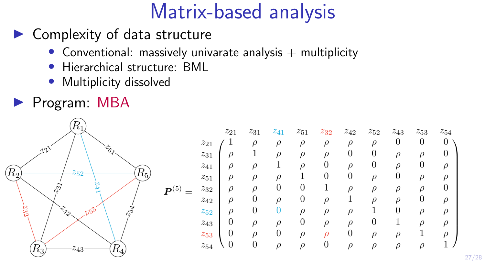## Matrix-based analysis

- Complexity of data structure
	- Conventional: massively univarate analysis  $+$  multiplicity
	- Hierarchical structure: BML
	- Multiplicity dissolved
- **Program: MBA**